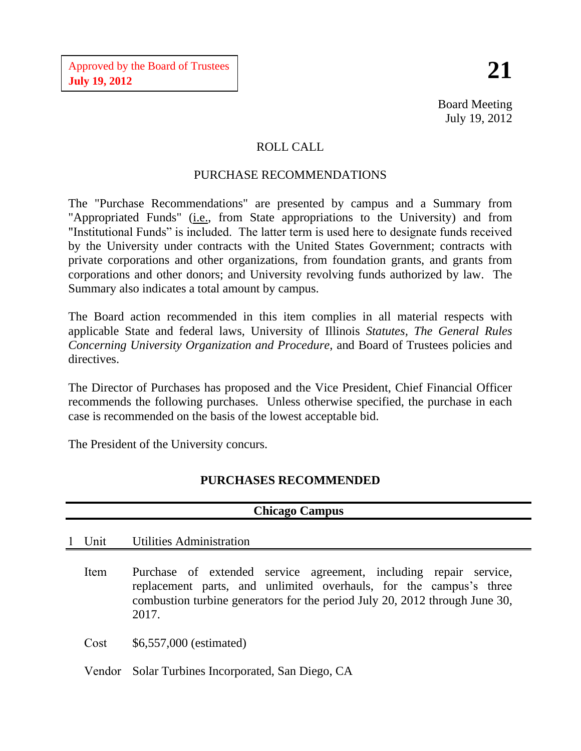## ROLL CALL

## PURCHASE RECOMMENDATIONS

The "Purchase Recommendations" are presented by campus and a Summary from "Appropriated Funds" (*i.e.*, from State appropriations to the University) and from "Institutional Funds" is included. The latter term is used here to designate funds received by the University under contracts with the United States Government; contracts with private corporations and other organizations, from foundation grants, and grants from corporations and other donors; and University revolving funds authorized by law. The Summary also indicates a total amount by campus.

The Board action recommended in this item complies in all material respects with applicable State and federal laws, University of Illinois *Statutes, The General Rules Concerning University Organization and Procedure*, and Board of Trustees policies and directives.

The Director of Purchases has proposed and the Vice President, Chief Financial Officer recommends the following purchases. Unless otherwise specified, the purchase in each case is recommended on the basis of the lowest acceptable bid.

The President of the University concurs.

## **PURCHASES RECOMMENDED**

**Chicago Campus**

| Unicago Uampus |                                                                                                                                                                                                                                 |  |  |
|----------------|---------------------------------------------------------------------------------------------------------------------------------------------------------------------------------------------------------------------------------|--|--|
| 1 Unit         | Utilities Administration                                                                                                                                                                                                        |  |  |
| Item           | Purchase of extended service agreement, including repair service,<br>replacement parts, and unlimited overhauls, for the campus's three<br>combustion turbine generators for the period July 20, 2012 through June 30,<br>2017. |  |  |
| Cost           | \$6,557,000 (estimated)                                                                                                                                                                                                         |  |  |
|                | Vendor Solar Turbines Incorporated, San Diego, CA                                                                                                                                                                               |  |  |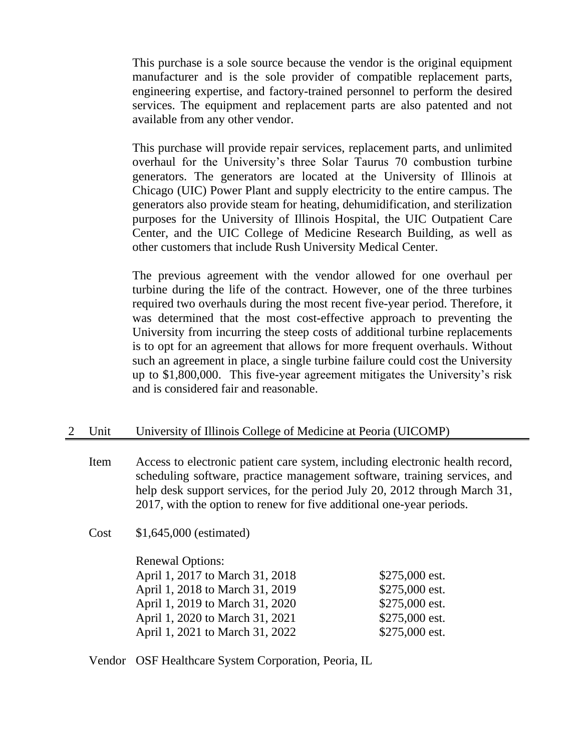This purchase is a sole source because the vendor is the original equipment manufacturer and is the sole provider of compatible replacement parts, engineering expertise, and factory-trained personnel to perform the desired services. The equipment and replacement parts are also patented and not available from any other vendor.

This purchase will provide repair services, replacement parts, and unlimited overhaul for the University's three Solar Taurus 70 combustion turbine generators. The generators are located at the University of Illinois at Chicago (UIC) Power Plant and supply electricity to the entire campus. The generators also provide steam for heating, dehumidification, and sterilization purposes for the University of Illinois Hospital, the UIC Outpatient Care Center, and the UIC College of Medicine Research Building, as well as other customers that include Rush University Medical Center.

The previous agreement with the vendor allowed for one overhaul per turbine during the life of the contract. However, one of the three turbines required two overhauls during the most recent five-year period. Therefore, it was determined that the most cost-effective approach to preventing the University from incurring the steep costs of additional turbine replacements is to opt for an agreement that allows for more frequent overhauls. Without such an agreement in place, a single turbine failure could cost the University up to \$1,800,000. This five-year agreement mitigates the University's risk and is considered fair and reasonable.

## 2 Unit University of Illinois College of Medicine at Peoria (UICOMP)

Item Access to electronic patient care system, including electronic health record, scheduling software, practice management software, training services, and help desk support services, for the period July 20, 2012 through March 31, 2017, with the option to renew for five additional one-year periods.

Cost \$1,645,000 (estimated)

Renewal Options: April 1, 2017 to March 31, 2018 \$275,000 est. April 1, 2018 to March 31, 2019 \$275,000 est. April 1, 2019 to March 31, 2020 \$275,000 est. April 1, 2020 to March 31, 2021 \$275,000 est. April 1, 2021 to March 31, 2022 \$275,000 est.

Vendor OSF Healthcare System Corporation, Peoria, IL